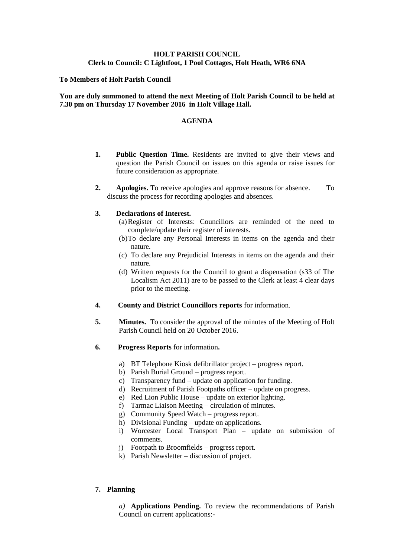# **HOLT PARISH COUNCIL Clerk to Council: C Lightfoot, 1 Pool Cottages, Holt Heath, WR6 6NA**

## **To Members of Holt Parish Council**

## **You are duly summoned to attend the next Meeting of Holt Parish Council to be held at 7.30 pm on Thursday 17 November 2016 in Holt Village Hall.**

### **AGENDA**

- **1. Public Question Time.** Residents are invited to give their views and question the Parish Council on issues on this agenda or raise issues for future consideration as appropriate.
- **2. Apologies.** To receive apologies and approve reasons for absence. To discuss the process for recording apologies and absences.

### **3. Declarations of Interest.**

- (a)Register of Interests: Councillors are reminded of the need to complete/update their register of interests.
- (b)To declare any Personal Interests in items on the agenda and their nature.
- (c) To declare any Prejudicial Interests in items on the agenda and their nature.
- (d) Written requests for the Council to grant a dispensation (s33 of The Localism Act 2011) are to be passed to the Clerk at least 4 clear days prior to the meeting.
- **4. County and District Councillors reports** for information.
- **5. Minutes.** To consider the approval of the minutes of the Meeting of Holt Parish Council held on 20 October 2016.
- **6. Progress Reports** for information**.**
	- a) BT Telephone Kiosk defibrillator project progress report.
	- b) Parish Burial Ground progress report.
	- c) Transparency fund update on application for funding.
	- d) Recruitment of Parish Footpaths officer update on progress.
	- e) Red Lion Public House update on exterior lighting.
	- f) Tarmac Liaison Meeting circulation of minutes.
	- g) Community Speed Watch progress report.
	- h) Divisional Funding update on applications.
	- i) Worcester Local Transport Plan update on submission of comments.
	- j) Footpath to Broomfields progress report.
	- k) Parish Newsletter discussion of project.

# **7. Planning**

*a)* **Applications Pending.** To review the recommendations of Parish Council on current applications:-